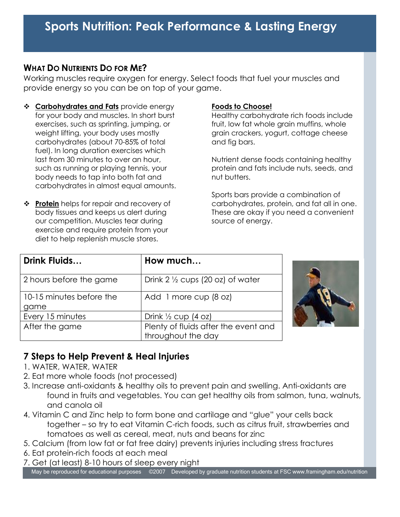## **WHAT DO NUTRIENTS DO FOR ME?**

Working muscles require oxygen for energy. Select foods that fuel your muscles and provide energy so you can be on top of your game.

- **↑ Carbohydrates and Fats** provide energy for your body and muscles. In short burst exercises, such as sprinting, jumping, or weight lifting, your body uses mostly carbohydrates (about 70-85% of total fuel). In long duration exercises which last from 30 minutes to over an hour, such as running or playing tennis, your body needs to tap into both fat and carbohydrates in almost equal amounts.
- **↑ Protein** helps for repair and recovery of body tissues and keeps us alert during our competition. Muscles tear during exercise and require protein from your diet to help replenish muscle stores.

### **Foods to Choose!**

Healthy carbohydrate rich foods include fruit, low fat whole grain muffins, whole grain crackers, yogurt, cottage cheese and fig bars.

Nutrient dense foods containing healthy protein and fats include nuts, seeds, and nut butters.

Sports bars provide a combination of carbohydrates, protein, and fat all in one. These are okay if you need a convenient source of energy.

| Drink Fluids             | How much                                    |
|--------------------------|---------------------------------------------|
| 2 hours before the game  | Drink 2 $\frac{1}{2}$ cups (20 oz) of water |
| 10-15 minutes before the | Add 1 more cup (8 oz)                       |
| game                     |                                             |
| Every 15 minutes         | Drink $\frac{1}{2}$ cup (4 oz)              |
| After the game           | Plenty of fluids after the event and        |
|                          | throughout the day                          |



# **7 Steps to Help Prevent & Heal Injuries**

- 1. WATER, WATER, WATER
- 2. Eat more whole foods (not processed)
- 3. Increase anti-oxidants & healthy oils to prevent pain and swelling. Anti-oxidants are found in fruits and vegetables. You can get healthy oils from salmon, tuna, walnuts, and canola oil
- 4. Vitamin C and Zinc help to form bone and cartilage and "glue" your cells back together – so try to eat Vitamin C-rich foods, such as citrus fruit, strawberries and tomatoes as well as cereal, meat, nuts and beans for zinc
- 5. Calcium (from low fat or fat free dairy) prevents injuries including stress fractures
- 6. Eat protein-rich foods at each meal
- 7. Get (at least) 8-10 hours of sleep every night

May be reproduced for educational purposes ©2007 Developed by graduate nutrition students at FSC www.framingham.edu/nutrition